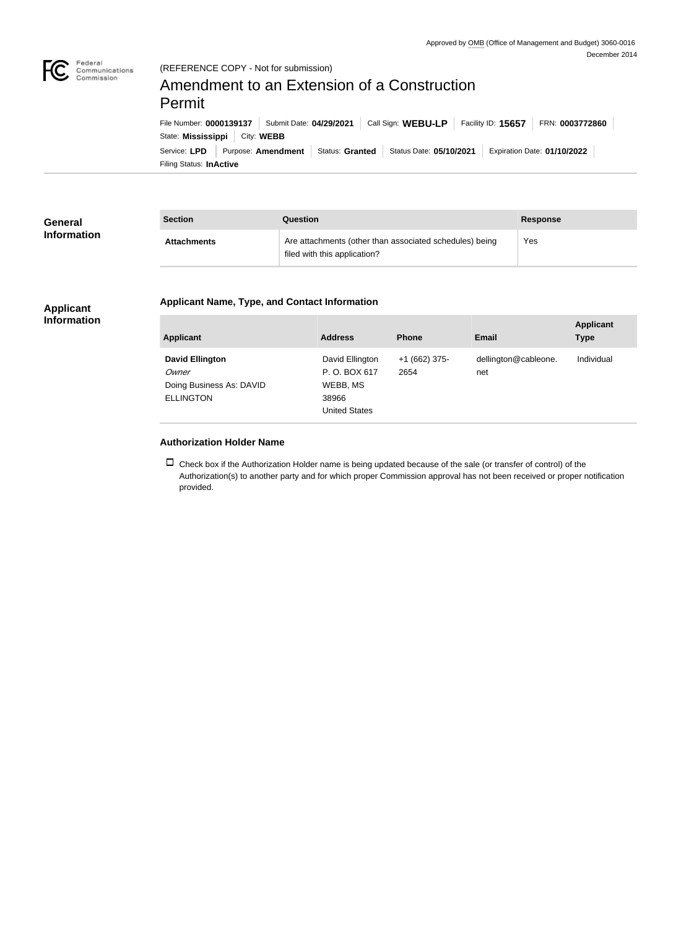

#### (REFERENCE COPY - Not for submission)

# Amendment to an Extension of a Construction Permit

Filing Status: **InActive** Service: LPD Purpose: Amendment Status: Granted Status Date: 05/10/2021 Expiration Date: 01/10/2022 State: **Mississippi** | City: WEBB File Number: **0000139137** Submit Date: **04/29/2021** Call Sign: **WEBU-LP** Facility ID: **15657** FRN: **0003772860**

| General<br><b>Information</b> | <b>Section</b>     | <b>Question</b>                                                                         | <b>Response</b> |
|-------------------------------|--------------------|-----------------------------------------------------------------------------------------|-----------------|
|                               | <b>Attachments</b> | Are attachments (other than associated schedules) being<br>filed with this application? | Yes             |

## **Applicant Name, Type, and Contact Information**

#### **Applicant Information**

| <b>Applicant</b>                                                                | <b>Address</b>                                                               | <b>Phone</b>          | <b>Email</b>                | <b>Applicant</b><br><b>Type</b> |
|---------------------------------------------------------------------------------|------------------------------------------------------------------------------|-----------------------|-----------------------------|---------------------------------|
| <b>David Ellington</b><br>Owner<br>Doing Business As: DAVID<br><b>ELLINGTON</b> | David Ellington<br>P.O. BOX 617<br>WEBB, MS<br>38966<br><b>United States</b> | +1 (662) 375-<br>2654 | dellington@cableone.<br>net | Individual                      |

### **Authorization Holder Name**

 $\Box$  Check box if the Authorization Holder name is being updated because of the sale (or transfer of control) of the Authorization(s) to another party and for which proper Commission approval has not been received or proper notification provided.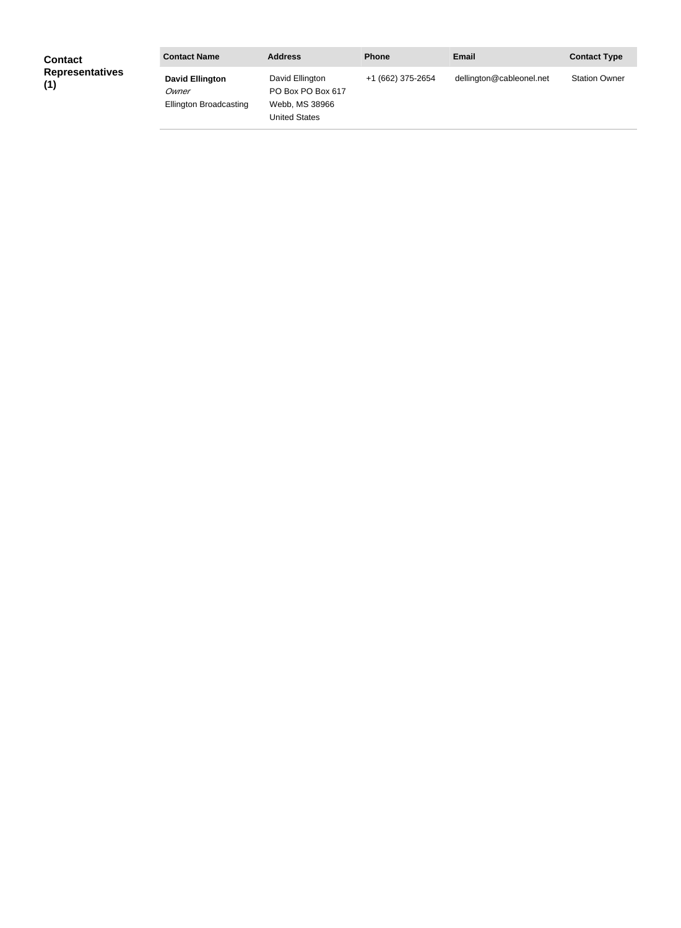| <b>Contact</b>                | <b>Contact Name</b>                                              | <b>Address</b>                                                          | <b>Phone</b>      | <b>Email</b>             | <b>Contact Type</b>  |
|-------------------------------|------------------------------------------------------------------|-------------------------------------------------------------------------|-------------------|--------------------------|----------------------|
| <b>Representatives</b><br>(1) | <b>David Ellington</b><br>Owner<br><b>Ellington Broadcasting</b> | David Ellington<br>PO Box PO Box 617<br>Webb, MS 38966<br>United States | +1 (662) 375-2654 | dellington@cableonel.net | <b>Station Owner</b> |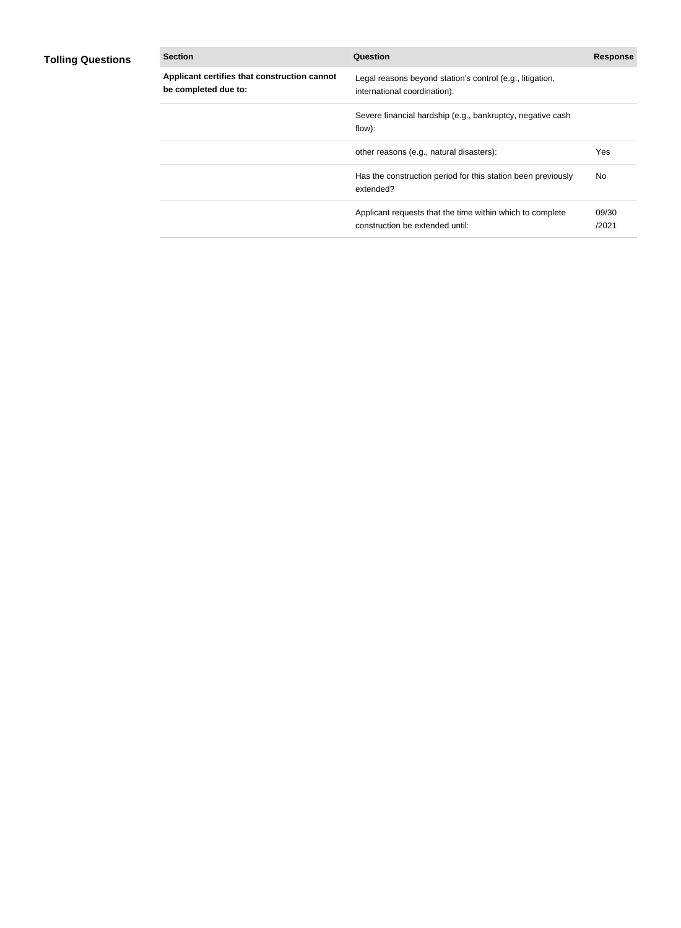# **Tolling Questions**

| <b>Section</b>                                                       | Question                                                                                     | <b>Response</b> |
|----------------------------------------------------------------------|----------------------------------------------------------------------------------------------|-----------------|
| Applicant certifies that construction cannot<br>be completed due to: | Legal reasons beyond station's control (e.g., litigation,<br>international coordination):    |                 |
|                                                                      | Severe financial hardship (e.g., bankruptcy, negative cash<br>flow):                         |                 |
|                                                                      | other reasons (e.g., natural disasters):                                                     | Yes             |
|                                                                      | Has the construction period for this station been previously<br>extended?                    | No.             |
|                                                                      | Applicant requests that the time within which to complete<br>construction be extended until: | 09/30<br>/2021  |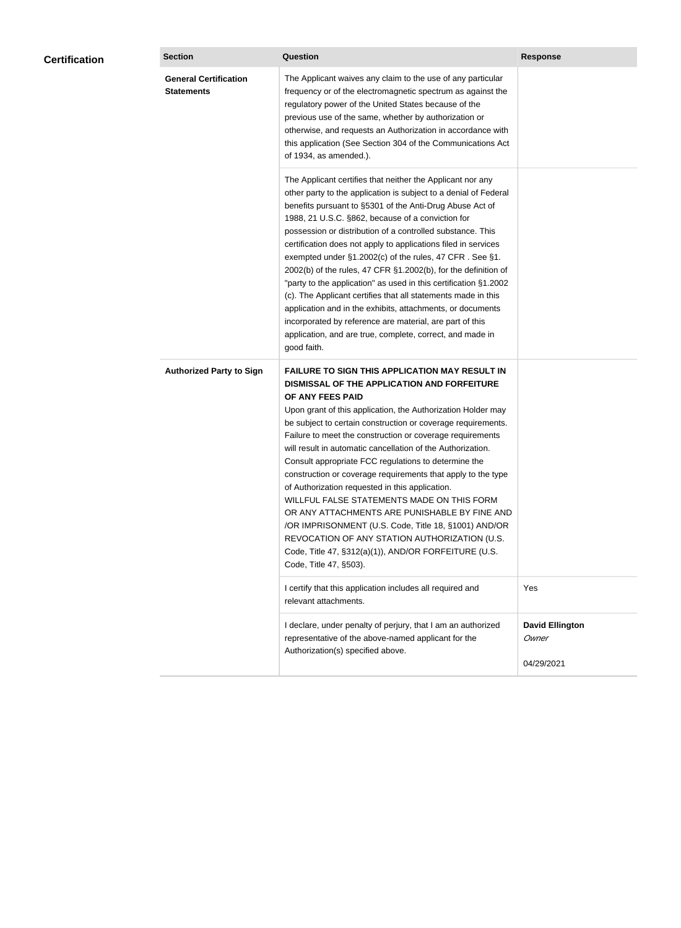| <b>Certification</b> | <b>Section</b>                                    | <b>Question</b>                                                                                                                                                                                                                                                                                                                                                                                                                                                                                                                                                                                                                                                                                                                                                                                                                                           | <b>Response</b>                               |
|----------------------|---------------------------------------------------|-----------------------------------------------------------------------------------------------------------------------------------------------------------------------------------------------------------------------------------------------------------------------------------------------------------------------------------------------------------------------------------------------------------------------------------------------------------------------------------------------------------------------------------------------------------------------------------------------------------------------------------------------------------------------------------------------------------------------------------------------------------------------------------------------------------------------------------------------------------|-----------------------------------------------|
|                      | <b>General Certification</b><br><b>Statements</b> | The Applicant waives any claim to the use of any particular<br>frequency or of the electromagnetic spectrum as against the<br>regulatory power of the United States because of the<br>previous use of the same, whether by authorization or<br>otherwise, and requests an Authorization in accordance with<br>this application (See Section 304 of the Communications Act<br>of 1934, as amended.).                                                                                                                                                                                                                                                                                                                                                                                                                                                       |                                               |
|                      |                                                   | The Applicant certifies that neither the Applicant nor any<br>other party to the application is subject to a denial of Federal<br>benefits pursuant to §5301 of the Anti-Drug Abuse Act of<br>1988, 21 U.S.C. §862, because of a conviction for<br>possession or distribution of a controlled substance. This<br>certification does not apply to applications filed in services<br>exempted under §1.2002(c) of the rules, 47 CFR. See §1.<br>2002(b) of the rules, 47 CFR §1.2002(b), for the definition of<br>"party to the application" as used in this certification §1.2002<br>(c). The Applicant certifies that all statements made in this<br>application and in the exhibits, attachments, or documents<br>incorporated by reference are material, are part of this<br>application, and are true, complete, correct, and made in<br>good faith.   |                                               |
|                      | <b>Authorized Party to Sign</b>                   | <b>FAILURE TO SIGN THIS APPLICATION MAY RESULT IN</b><br>DISMISSAL OF THE APPLICATION AND FORFEITURE<br>OF ANY FEES PAID<br>Upon grant of this application, the Authorization Holder may<br>be subject to certain construction or coverage requirements.<br>Failure to meet the construction or coverage requirements<br>will result in automatic cancellation of the Authorization.<br>Consult appropriate FCC regulations to determine the<br>construction or coverage requirements that apply to the type<br>of Authorization requested in this application.<br>WILLFUL FALSE STATEMENTS MADE ON THIS FORM<br>OR ANY ATTACHMENTS ARE PUNISHABLE BY FINE AND<br>/OR IMPRISONMENT (U.S. Code, Title 18, §1001) AND/OR<br>REVOCATION OF ANY STATION AUTHORIZATION (U.S.<br>Code, Title 47, §312(a)(1)), AND/OR FORFEITURE (U.S.<br>Code, Title 47, §503). |                                               |
|                      |                                                   | I certify that this application includes all required and<br>relevant attachments.                                                                                                                                                                                                                                                                                                                                                                                                                                                                                                                                                                                                                                                                                                                                                                        | Yes                                           |
|                      |                                                   | I declare, under penalty of perjury, that I am an authorized<br>representative of the above-named applicant for the<br>Authorization(s) specified above.                                                                                                                                                                                                                                                                                                                                                                                                                                                                                                                                                                                                                                                                                                  | <b>David Ellington</b><br>Owner<br>04/29/2021 |